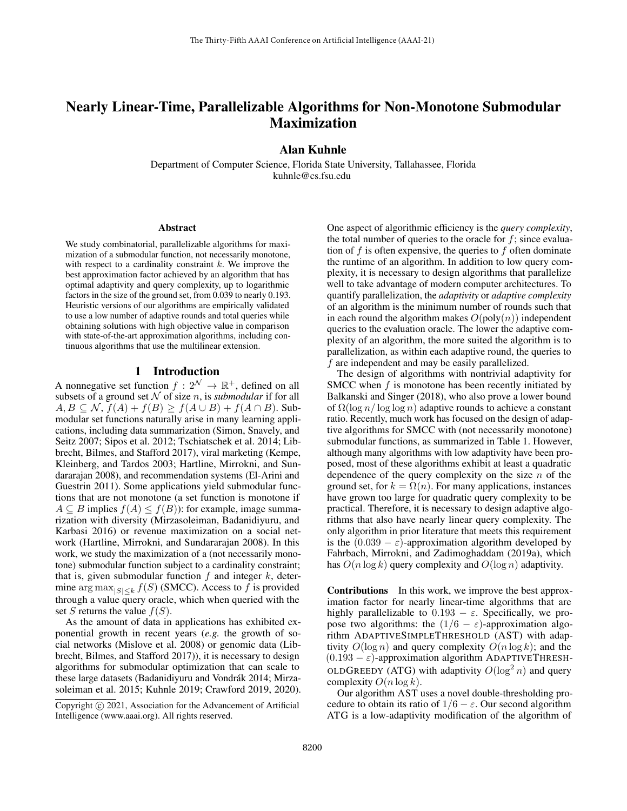# Nearly Linear-Time, Parallelizable Algorithms for Non-Monotone Submodular Maximization

Alan Kuhnle

Department of Computer Science, Florida State University, Tallahassee, Florida kuhnle@cs.fsu.edu

#### Abstract

We study combinatorial, parallelizable algorithms for maximization of a submodular function, not necessarily monotone, with respect to a cardinality constraint  $k$ . We improve the best approximation factor achieved by an algorithm that has optimal adaptivity and query complexity, up to logarithmic factors in the size of the ground set, from 0.039 to nearly 0.193. Heuristic versions of our algorithms are empirically validated to use a low number of adaptive rounds and total queries while obtaining solutions with high objective value in comparison with state-of-the-art approximation algorithms, including continuous algorithms that use the multilinear extension.

### 1 Introduction

A nonnegative set function  $f: 2^{\mathcal{N}} \to \mathbb{R}^+$ , defined on all subsets of a ground set  $N$  of size n, is *submodular* if for all  $A, B \subseteq \mathcal{N}, f(A) + f(B) \geq f(A \cup B) + f(A \cap B)$ . Submodular set functions naturally arise in many learning applications, including data summarization (Simon, Snavely, and Seitz 2007; Sipos et al. 2012; Tschiatschek et al. 2014; Libbrecht, Bilmes, and Stafford 2017), viral marketing (Kempe, Kleinberg, and Tardos 2003; Hartline, Mirrokni, and Sundararajan 2008), and recommendation systems (El-Arini and Guestrin 2011). Some applications yield submodular functions that are not monotone (a set function is monotone if  $A \subseteq B$  implies  $f(A) \leq f(B)$ : for example, image summarization with diversity (Mirzasoleiman, Badanidiyuru, and Karbasi 2016) or revenue maximization on a social network (Hartline, Mirrokni, and Sundararajan 2008). In this work, we study the maximization of a (not necessarily monotone) submodular function subject to a cardinality constraint; that is, given submodular function  $f$  and integer  $k$ , determine  $\arg \max_{|S| \leq k} f(S)$  (SMCC). Access to f is provided through a value query oracle, which when queried with the set S returns the value  $f(S)$ .

As the amount of data in applications has exhibited exponential growth in recent years (*e.g.* the growth of social networks (Mislove et al. 2008) or genomic data (Libbrecht, Bilmes, and Stafford 2017)), it is necessary to design algorithms for submodular optimization that can scale to these large datasets (Badanidiyuru and Vondrák 2014; Mirzasoleiman et al. 2015; Kuhnle 2019; Crawford 2019, 2020). One aspect of algorithmic efficiency is the *query complexity*, the total number of queries to the oracle for  $f$ ; since evaluation of  $f$  is often expensive, the queries to  $f$  often dominate the runtime of an algorithm. In addition to low query complexity, it is necessary to design algorithms that parallelize well to take advantage of modern computer architectures. To quantify parallelization, the *adaptivity* or *adaptive complexity* of an algorithm is the minimum number of rounds such that in each round the algorithm makes  $O(poly(n))$  independent queries to the evaluation oracle. The lower the adaptive complexity of an algorithm, the more suited the algorithm is to parallelization, as within each adaptive round, the queries to f are independent and may be easily parallelized.

The design of algorithms with nontrivial adaptivity for SMCC when f is monotone has been recently initiated by Balkanski and Singer (2018), who also prove a lower bound of  $\Omega(\log n / \log \log n)$  adaptive rounds to achieve a constant ratio. Recently, much work has focused on the design of adaptive algorithms for SMCC with (not necessarily monotone) submodular functions, as summarized in Table 1. However, although many algorithms with low adaptivity have been proposed, most of these algorithms exhibit at least a quadratic dependence of the query complexity on the size  $n$  of the ground set, for  $k = \Omega(n)$ . For many applications, instances have grown too large for quadratic query complexity to be practical. Therefore, it is necessary to design adaptive algorithms that also have nearly linear query complexity. The only algorithm in prior literature that meets this requirement is the  $(0.039 - \varepsilon)$ -approximation algorithm developed by Fahrbach, Mirrokni, and Zadimoghaddam (2019a), which has  $O(n \log k)$  query complexity and  $O(\log n)$  adaptivity.

Contributions In this work, we improve the best approximation factor for nearly linear-time algorithms that are highly parallelizable to  $0.193 - \varepsilon$ . Specifically, we propose two algorithms: the  $(1/6 - \varepsilon)$ -approximation algorithm ADAPTIVESIMPLETHRESHOLD (AST) with adaptivity  $O(\log n)$  and query complexity  $O(n \log k)$ ; and the  $(0.193 - \varepsilon)$ -approximation algorithm ADAPTIVETHRESH-OLDGREEDY (ATG) with adaptivity  $O(\log^2 n)$  and query complexity  $O(n \log k)$ .

Our algorithm AST uses a novel double-thresholding procedure to obtain its ratio of  $1/6 - \varepsilon$ . Our second algorithm ATG is a low-adaptivity modification of the algorithm of

Copyright © 2021, Association for the Advancement of Artificial Intelligence (www.aaai.org). All rights reserved.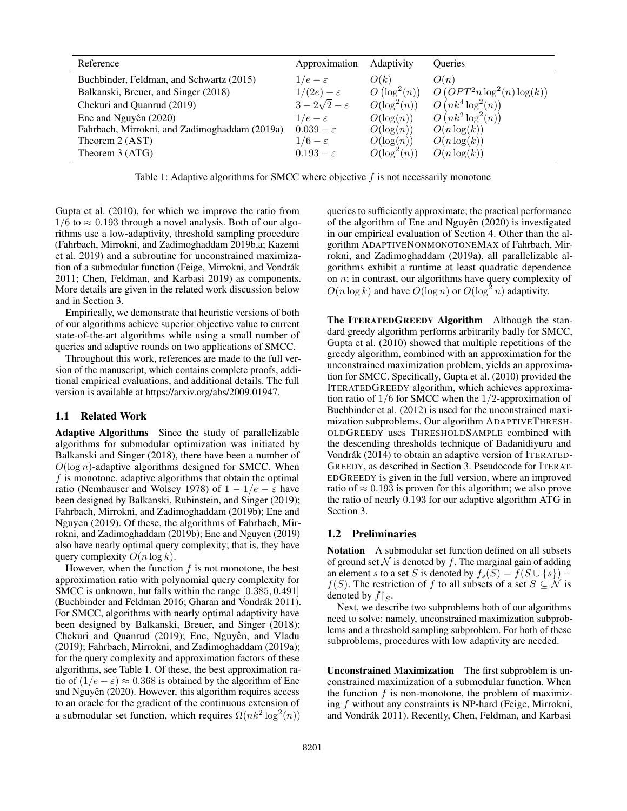| Reference                                     | Approximation             | Adaptivity                | <b>Oueries</b>                |
|-----------------------------------------------|---------------------------|---------------------------|-------------------------------|
| Buchbinder, Feldman, and Schwartz (2015)      | $1/e - \varepsilon$       | O(k)                      | O(n)                          |
| Balkanski, Breuer, and Singer (2018)          | $1/(2e)-\varepsilon$      | $O\left(\log^2(n)\right)$ | $O(OPT2n log2(n)log(k))$      |
| Chekuri and Quanrud (2019)                    | $3-2\sqrt{2}-\varepsilon$ | $O(\log^2(n))$            | $O(nk^4 \log^2(n))$           |
| Ene and Nguyên (2020)                         | $1/e - \varepsilon$       | $O(\log(n))$              | $O\left(nk^2\log^2(n)\right)$ |
| Fahrbach, Mirrokni, and Zadimoghaddam (2019a) | $0.039 - \varepsilon$     | $O(\log(n))$              | $O(n \log(k))$                |
| Theorem 2 (AST)                               | $1/6-\varepsilon$         | $O(\log(n))$              | $O(n \log(k))$                |
| Theorem 3 (ATG)                               | $0.193 - \varepsilon$     | $O(\log^2(n))$            | $O(n \log(k))$                |

Table 1: Adaptive algorithms for SMCC where objective  $f$  is not necessarily monotone

Gupta et al. (2010), for which we improve the ratio from  $1/6$  to  $\approx 0.193$  through a novel analysis. Both of our algorithms use a low-adaptivity, threshold sampling procedure (Fahrbach, Mirrokni, and Zadimoghaddam 2019b,a; Kazemi et al. 2019) and a subroutine for unconstrained maximization of a submodular function (Feige, Mirrokni, and Vondrák 2011; Chen, Feldman, and Karbasi 2019) as components. More details are given in the related work discussion below and in Section 3.

Empirically, we demonstrate that heuristic versions of both of our algorithms achieve superior objective value to current state-of-the-art algorithms while using a small number of queries and adaptive rounds on two applications of SMCC.

Throughout this work, references are made to the full version of the manuscript, which contains complete proofs, additional empirical evaluations, and additional details. The full version is available at https://arxiv.org/abs/2009.01947.

#### 1.1 Related Work

Adaptive Algorithms Since the study of parallelizable algorithms for submodular optimization was initiated by Balkanski and Singer (2018), there have been a number of  $O(\log n)$ -adaptive algorithms designed for SMCC. When  $f$  is monotone, adaptive algorithms that obtain the optimal ratio (Nemhauser and Wolsey 1978) of  $1 - 1/e - \varepsilon$  have been designed by Balkanski, Rubinstein, and Singer (2019); Fahrbach, Mirrokni, and Zadimoghaddam (2019b); Ene and Nguyen (2019). Of these, the algorithms of Fahrbach, Mirrokni, and Zadimoghaddam (2019b); Ene and Nguyen (2019) also have nearly optimal query complexity; that is, they have query complexity  $O(n \log k)$ .

However, when the function  $f$  is not monotone, the best approximation ratio with polynomial query complexity for SMCC is unknown, but falls within the range [0.385, 0.491] (Buchbinder and Feldman 2016; Gharan and Vondrák 2011). For SMCC, algorithms with nearly optimal adaptivity have been designed by Balkanski, Breuer, and Singer (2018); Chekuri and Quanrud (2019); Ene, Nguyên, and Vladu (2019); Fahrbach, Mirrokni, and Zadimoghaddam (2019a); for the query complexity and approximation factors of these algorithms, see Table 1. Of these, the best approximation ratio of  $(1/e - \varepsilon) \approx 0.368$  is obtained by the algorithm of Ene and Nguyên  $(2020)$ . However, this algorithm requires access to an oracle for the gradient of the continuous extension of a submodular set function, which requires  $\Omega(nk^2 \log^2(n))$ 

queries to sufficiently approximate; the practical performance of the algorithm of Ene and Nguyên  $(2020)$  is investigated in our empirical evaluation of Section 4. Other than the algorithm ADAPTIVENONMONOTONEMAX of Fahrbach, Mirrokni, and Zadimoghaddam (2019a), all parallelizable algorithms exhibit a runtime at least quadratic dependence on  $n$ ; in contrast, our algorithms have query complexity of  $O(n \log k)$  and have  $O(\log n)$  or  $O(\log^2 n)$  adaptivity.

The ITERATEDGREEDY Algorithm Although the standard greedy algorithm performs arbitrarily badly for SMCC, Gupta et al. (2010) showed that multiple repetitions of the greedy algorithm, combined with an approximation for the unconstrained maximization problem, yields an approximation for SMCC. Specifically, Gupta et al. (2010) provided the ITERATEDGREEDY algorithm, which achieves approximation ratio of  $1/6$  for SMCC when the  $1/2$ -approximation of Buchbinder et al. (2012) is used for the unconstrained maximization subproblems. Our algorithm ADAPTIVETHRESH-OLDGREEDY uses THRESHOLDSAMPLE combined with the descending thresholds technique of Badanidiyuru and Vondrák (2014) to obtain an adaptive version of ITERATED-GREEDY, as described in Section 3. Pseudocode for ITERAT-EDGREEDY is given in the full version, where an improved ratio of  $\approx 0.193$  is proven for this algorithm; we also prove the ratio of nearly 0.193 for our adaptive algorithm ATG in Section 3.

#### 1.2 Preliminaries

Notation A submodular set function defined on all subsets of ground set  $N$  is denoted by f. The marginal gain of adding an element s to a set S is denoted by  $f_s(S) = f(S \cup \{s\})$  –  $f(S)$ . The restriction of f to all subsets of a set  $S \subseteq \mathcal{N}$  is denoted by  $f\upharpoonright_{S}$ .

Next, we describe two subproblems both of our algorithms need to solve: namely, unconstrained maximization subproblems and a threshold sampling subproblem. For both of these subproblems, procedures with low adaptivity are needed.

Unconstrained Maximization The first subproblem is unconstrained maximization of a submodular function. When the function  $f$  is non-monotone, the problem of maximizing f without any constraints is NP-hard (Feige, Mirrokni, and Vondrák 2011). Recently, Chen, Feldman, and Karbasi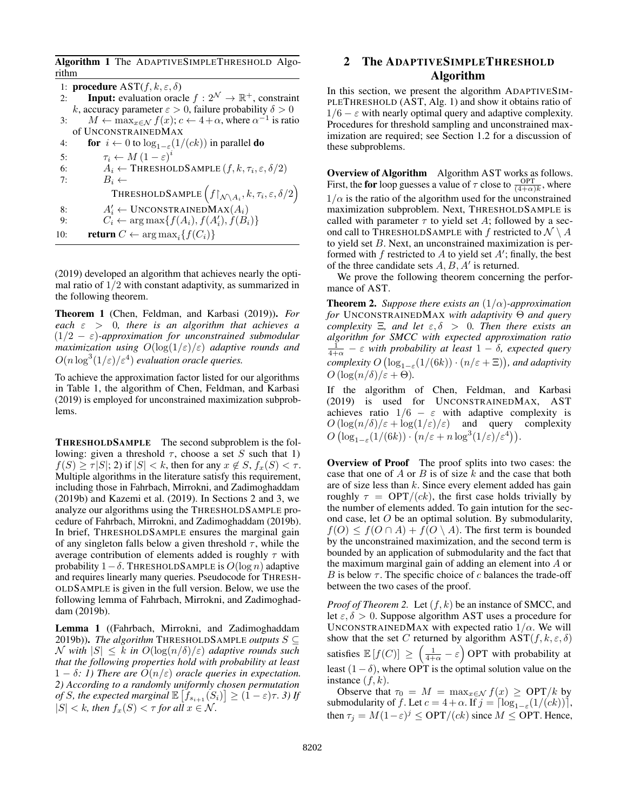Algorithm 1 The ADAPTIVESIMPLETHRESHOLD Algorithm

|     | 1: <b>procedure</b> $AST(f, k, \varepsilon, \delta)$                                                 |
|-----|------------------------------------------------------------------------------------------------------|
| 2:  | <b>Input:</b> evaluation oracle $f: 2^{\mathcal{N}} \to \mathbb{R}^+$ , constraint                   |
|     | k, accuracy parameter $\varepsilon > 0$ , failure probability $\delta > 0$                           |
| 3:  | $M \leftarrow \max_{x \in \mathcal{N}} f(x); c \leftarrow 4 + \alpha$ , where $\alpha^{-1}$ is ratio |
|     | of UNCONSTRAINEDMAX                                                                                  |
| 4:  | for $i \leftarrow 0$ to $\log_{1-\varepsilon}(1/(ck))$ in parallel <b>do</b>                         |
| 5:  | $\tau_i \leftarrow M (1 - \varepsilon)^i$                                                            |
| 6:  | $A_i \leftarrow$ THRESHOLDSAMPLE $(f, k, \tau_i, \varepsilon, \delta/2)$                             |
| 7:  | $B_i \leftarrow$                                                                                     |
|     | THRESHOLDSAMPLE $(f _{\mathcal{N}\setminus A_i}, k, \tau_i, \varepsilon, \delta/2)$                  |
| 8:  | $A'_i \leftarrow \text{UNCONSTRAINEDMAX}(A_i)$                                                       |
| 9:  | $C_i \leftarrow \arg \max\{f(A_i), f(A'_i), f(B_i)\}\$                                               |
| 10: | <b>return</b> $C \leftarrow \arg \max_i \{f(C_i)\}\$                                                 |
|     |                                                                                                      |

(2019) developed an algorithm that achieves nearly the optimal ratio of  $1/2$  with constant adaptivity, as summarized in the following theorem.

Theorem 1 (Chen, Feldman, and Karbasi (2019)). *For each* ε > 0*, there is an algorithm that achieves a* (1/2 − ε)*-approximation for unconstrained submodular maximization using* O(log(1/ε)/ε) *adaptive rounds and*  $O(n \log^3(1/\varepsilon)/\varepsilon^4)$  evaluation oracle queries.

To achieve the approximation factor listed for our algorithms in Table 1, the algorithm of Chen, Feldman, and Karbasi (2019) is employed for unconstrained maximization subproblems.

THRESHOLDSAMPLE The second subproblem is the following: given a threshold  $\tau$ , choose a set S such that 1)  $f(S) \geq \tau |S|$ ; 2) if  $|S| < k$ , then for any  $x \notin S$ ,  $f_x(S) < \tau$ . Multiple algorithms in the literature satisfy this requirement, including those in Fahrbach, Mirrokni, and Zadimoghaddam (2019b) and Kazemi et al. (2019). In Sections 2 and 3, we analyze our algorithms using the THRESHOLDSAMPLE procedure of Fahrbach, Mirrokni, and Zadimoghaddam (2019b). In brief, THRESHOLDSAMPLE ensures the marginal gain of any singleton falls below a given threshold  $\tau$ , while the average contribution of elements added is roughly  $\tau$  with probability  $1-\delta$ . THRESHOLDSAMPLE is  $O(\log n)$  adaptive and requires linearly many queries. Pseudocode for THRESH-OLDSAMPLE is given in the full version. Below, we use the following lemma of Fahrbach, Mirrokni, and Zadimoghaddam (2019b).

Lemma 1 ((Fahrbach, Mirrokni, and Zadimoghaddam 2019b)). *The algorithm* THRESHOLDSAMPLE *outputs* S ⊆ N with  $|S| \leq k$  in  $O(\log(n/\delta)/\varepsilon)$  adaptive rounds such *that the following properties hold with probability at least*  $1 - \delta$ : 1) There are  $O(n/\varepsilon)$  oracle queries in expectation. *2) According to a randomly uniformly chosen permutation of S, the expected marginal*  $\mathbb{E}\left[f_{s_{i+1}}(S_i)\right] \geq (1-\varepsilon)\tau$ . 3) If  $|S| < k$ , then  $f_x(S) < \tau$  for all  $x \in \mathcal{N}$ .

# 2 The ADAPTIVESIMPLETHRESHOLD Algorithm

In this section, we present the algorithm ADAPTIVESIM-PLETHRESHOLD (AST, Alg. 1) and show it obtains ratio of  $1/6 - \varepsilon$  with nearly optimal query and adaptive complexity. Procedures for threshold sampling and unconstrained maximization are required; see Section 1.2 for a discussion of these subproblems.

Overview of Algorithm Algorithm AST works as follows. First, the for loop guesses a value of  $\tau$  close to  $\frac{\text{OPT}}{(4+\alpha)k}$ , where  $1/\alpha$  is the ratio of the algorithm used for the unconstrained maximization subproblem. Next, THRESHOLDSAMPLE is called with parameter  $\tau$  to yield set A; followed by a second call to THRESHOLDSAMPLE with f restricted to  $\mathcal{N} \setminus A$ to yield set B. Next, an unconstrained maximization is performed with  $f$  restricted to  $A$  to yield set  $A'$ ; finally, the best of the three candidate sets  $A, B, A'$  is returned.

We prove the following theorem concerning the performance of AST.

Theorem 2. *Suppose there exists an* (1/α)*-approximation for* UNCONSTRAINEDMAX *with adaptivity* Θ *and query complexity*  $\Xi$ *, and let*  $\varepsilon$ *,* $\delta$  > 0*. Then there exists an algorithm for SMCC with expected approximation ratio*  $\frac{1}{4+\alpha}$  –  $\varepsilon$  with probability at least  $1-\delta$ , expected query  $complexity\ O\left(\log_{1-\varepsilon}(1/(6k))\cdot(n/\varepsilon+\Xi)\right)$ , and adaptivity  $O(\log(n/\delta)/\varepsilon + \Theta)$ .

If the algorithm of Chen, Feldman, and Karbasi (2019) is used for UNCONSTRAINEDMAX, AST achieves ratio  $1/6 - \varepsilon$  with adaptive complexity is  $O(\log(n/\delta)/\varepsilon + \log(1/\varepsilon)/\varepsilon)$  and query complexity  $O\left(\log_{1-\varepsilon}(1/(6k)) \cdot \left(n/\varepsilon + n \log^3(1/\varepsilon)/\varepsilon^4\right)\right).$ 

Overview of Proof The proof splits into two cases: the case that one of  $A$  or  $B$  is of size  $k$  and the case that both are of size less than  $k$ . Since every element added has gain roughly  $\tau = \text{OPT}/(ck)$ , the first case holds trivially by the number of elements added. To gain intution for the second case, let O be an optimal solution. By submodularity,  $f(O) \le f(O \cap A) + f(O \setminus A)$ . The first term is bounded by the unconstrained maximization, and the second term is bounded by an application of submodularity and the fact that the maximum marginal gain of adding an element into A or B is below  $\tau$ . The specific choice of c balances the trade-off between the two cases of the proof.

*Proof of Theorem 2.* Let  $(f, k)$  be an instance of SMCC, and let  $\epsilon, \delta > 0$ . Suppose algorithm AST uses a procedure for UNCONSTRAINEDMAX with expected ratio  $1/\alpha$ . We will show that the set C returned by algorithm  $AST(f, k, \varepsilon, \delta)$ satisfies  $\mathbb{E}[f(C)] \ge \left(\frac{1}{4+\alpha} - \varepsilon\right)$  OPT with probability at least  $(1 - \delta)$ , where OPT is the optimal solution value on the instance  $(f, k)$ .

Observe that  $\tau_0 = M = \max_{x \in \mathcal{N}} f(x) \geq \text{OPT}/k$  by submodularity of f. Let  $c = 4 + \alpha$ . If  $j = \lceil \log_{1-\epsilon}(1/(ck)) \rceil$ , then  $\tau_j = M(1 - \varepsilon)^j \le \text{OPT}/(ck)$  since  $M \le \text{OPT}$ . Hence,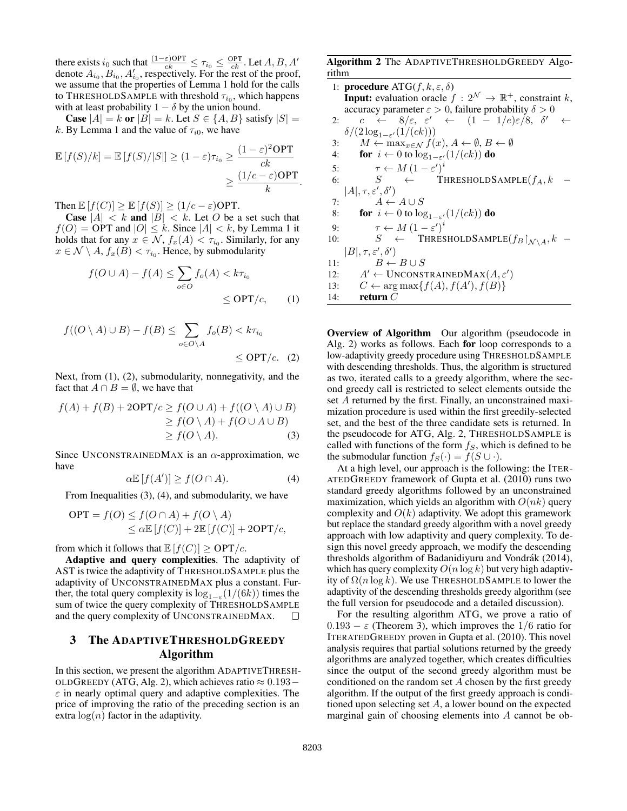there exists  $i_0$  such that  $\frac{(1-\varepsilon)OPT}{ck} \leq \tau_{i_0} \leq \frac{OPT}{ck}$ . Let  $A, B, A'$ denote  $A_{i_0}, B_{i_0}, A'_{i_0}$ , respectively. For the rest of the proof, we assume that the properties of Lemma 1 hold for the calls to THRESHOLDSAMPLE with threshold  $\tau_{i_0}$ , which happens with at least probability  $1 - \delta$  by the union bound.

**Case**  $|A| = k$  or  $|B| = k$ . Let  $S \in \{A, B\}$  satisfy  $|S| =$ k. By Lemma 1 and the value of  $\tau_{i0}$ , we have

$$
\mathbb{E}[f(S)/k] = \mathbb{E}[f(S)/|S|] \ge (1 - \varepsilon)\tau_{i_0} \ge \frac{(1 - \varepsilon)^2 \text{OPT}}{ck} \ge \frac{(1/c - \varepsilon)\text{OPT}}{k}.
$$

Then  $\mathbb{E}[f(C)] \geq \mathbb{E}[f(S)] \geq (1/c - \varepsilon)$ OPT.

**Case**  $|A| < k$  and  $|B| < k$ . Let O be a set such that  $f(0) = \text{OPT}$  and  $|0| \leq k$ . Since  $|A| < k$ , by Lemma 1 it holds that for any  $x \in \mathcal{N}$ ,  $f_x(A) < \tau_{i_0}$ . Similarly, for any  $x \in \mathcal{N} \setminus A$ ,  $f_x(B) < \tau_{i_0}$ . Hence, by submodularity

$$
f(O \cup A) - f(A) \le \sum_{o \in O} f_o(A) < k\tau_{i_0}
$$
\n
$$
\le \text{OPT}/c,\qquad(1)
$$

$$
f((O \setminus A) \cup B) - f(B) \le \sum_{o \in O \setminus A} f_o(B) < k\tau_{i_0}
$$
\n
$$
\le \text{OPT}/c. \quad (2)
$$

Next, from (1), (2), submodularity, nonnegativity, and the fact that  $A \cap B = \emptyset$ , we have that

$$
f(A) + f(B) + 2\text{OPT}/c \ge f(O \cup A) + f((O \setminus A) \cup B)
$$
  
\n
$$
\ge f(O \setminus A) + f(O \cup A \cup B)
$$
  
\n
$$
\ge f(O \setminus A).
$$
 (3)

Since UNCONSTRAINEDMAX is an  $\alpha$ -approximation, we have

$$
\alpha \mathbb{E}\left[f(A')\right] \ge f(O \cap A). \tag{4}
$$

From Inequalities (3), (4), and submodularity, we have

$$
OPT = f(O) \le f(O \cap A) + f(O \setminus A)
$$
  

$$
\le \alpha \mathbb{E}[f(C)] + 2\mathbb{E}[f(C)] + 2OPT/c,
$$

from which it follows that  $\mathbb{E}[f(C)] \ge \text{OPT}/c$ .

Adaptive and query complexities. The adaptivity of AST is twice the adaptivity of THRESHOLDSAMPLE plus the adaptivity of UNCONSTRAINEDMAX plus a constant. Further, the total query complexity is  $\log_{1-\varepsilon}(1/(6k))$  times the sum of twice the query complexity of THRESHOLDSAMPLE and the query complexity of UNCONSTRAINEDMAX.  $\Box$ 

# 3 The ADAPTIVETHRESHOLDGREEDY Algorithm

In this section, we present the algorithm ADAPTIVETHRESH-OLDGREEDY (ATG, Alg. 2), which achieves ratio  $\approx 0.193 \varepsilon$  in nearly optimal query and adaptive complexities. The price of improving the ratio of the preceding section is an extra  $log(n)$  factor in the adaptivity.

Algorithm 2 The ADAPTIVETHRESHOLDGREEDY Algorithm

1: **procedure** ATG(f, k, 
$$
\varepsilon
$$
,  $\delta$ )  
\n**Input:** evaluation oracle  $f : 2^{\mathcal{N}} \to \mathbb{R}^+$ , constraint k,  
\naccuracy parameter  $\varepsilon > 0$ , failure probability  $\delta > 0$   
\n2:  $c \leftarrow 8/\varepsilon$ ,  $\varepsilon' \leftarrow (1 - 1/e)\varepsilon/8$ ,  $\delta' \leftarrow$   
\n $\delta/(2\log_{1-\varepsilon'}(1/(ck)))$   
\n3:  $M \leftarrow \max_{x \in \mathcal{N}} f(x)$ ,  $A \leftarrow \emptyset$ ,  $B \leftarrow \emptyset$   
\n4: **for**  $i \leftarrow 0$  to  $\log_{1-\varepsilon'}(1/(ck))$  **do**  
\n5:  $\tau \leftarrow M(1 - \varepsilon')^i$   
\n6:  $S \leftarrow \text{THESHOLDSAMPLE}(f_A, k - |A|, \tau, \varepsilon', \delta')$   
\n7:  $A \leftarrow A \cup S$   
\n8: **for**  $i \leftarrow 0$  to  $\log_{1-\varepsilon'}(1/(ck))$  **do**  
\n9:  $\tau \leftarrow M(1 - \varepsilon')^i$   
\n10:  $S \leftarrow \text{THESHOLDSAMPLE}(f_B|_{\mathcal{N}\setminus A}, k - |B|, \tau, \varepsilon', \delta')$   
\n11:  $B \leftarrow B \cup S$   
\n12:  $A' \leftarrow \text{UNCONSTRAINEDMAX}(A, \varepsilon')$   
\n13:  $C \leftarrow \text{arg max}\{f(A), f(A'), f(B)\}$   
\n14: **return** C

Overview of Algorithm Our algorithm (pseudocode in Alg. 2) works as follows. Each for loop corresponds to a low-adaptivity greedy procedure using THRESHOLDSAMPLE with descending thresholds. Thus, the algorithm is structured as two, iterated calls to a greedy algorithm, where the second greedy call is restricted to select elements outside the set A returned by the first. Finally, an unconstrained maximization procedure is used within the first greedily-selected set, and the best of the three candidate sets is returned. In the pseudocode for ATG, Alg. 2, THRESHOLDSAMPLE is called with functions of the form  $f<sub>S</sub>$ , which is defined to be the submodular function  $f_S(\cdot) = f(S \cup \cdot)$ .

At a high level, our approach is the following: the ITER-ATEDGREEDY framework of Gupta et al. (2010) runs two standard greedy algorithms followed by an unconstrained maximization, which yields an algorithm with  $O(nk)$  query complexity and  $O(k)$  adaptivity. We adopt this gramework but replace the standard greedy algorithm with a novel greedy approach with low adaptivity and query complexity. To design this novel greedy approach, we modify the descending thresholds algorithm of Badanidiyuru and Vondrák (2014), which has query complexity  $O(n \log k)$  but very high adaptivity of  $\Omega(n \log k)$ . We use THRESHOLDSAMPLE to lower the adaptivity of the descending thresholds greedy algorithm (see the full version for pseudocode and a detailed discussion).

For the resulting algorithm ATG, we prove a ratio of  $0.193 - \varepsilon$  (Theorem 3), which improves the 1/6 ratio for ITERATEDGREEDY proven in Gupta et al. (2010). This novel analysis requires that partial solutions returned by the greedy algorithms are analyzed together, which creates difficulties since the output of the second greedy algorithm must be conditioned on the random set  $A$  chosen by the first greedy algorithm. If the output of the first greedy approach is conditioned upon selecting set A, a lower bound on the expected marginal gain of choosing elements into A cannot be ob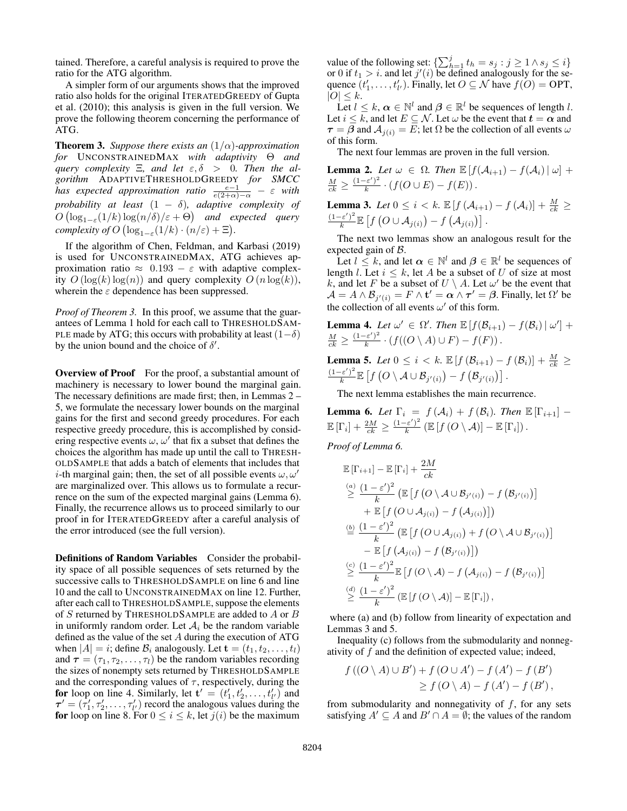tained. Therefore, a careful analysis is required to prove the ratio for the ATG algorithm.

A simpler form of our arguments shows that the improved ratio also holds for the original ITERATEDGREEDY of Gupta et al. (2010); this analysis is given in the full version. We prove the following theorem concerning the performance of ATG.

Theorem 3. *Suppose there exists an* (1/α)*-approximation for* UNCONSTRAINEDMAX *with adaptivity* Θ *and query complexity* Ξ*, and let* ε, δ > 0*. Then the algorithm* ADAPTIVETHRESHOLDGREEDY *for SMCC has expected approximation ratio*  $\frac{e-1}{e(2+\alpha)-\alpha} - \varepsilon$  *with probability at least* (1 − δ)*, adaptive complexity of*  $O\left(\log_{1-\varepsilon}(1/k)\log(n/\delta)/\varepsilon+\Theta\right)$  and expected query *complexity of*  $O(\log_{1-\varepsilon}(1/k) \cdot (n/\varepsilon) + \Xi)$ *.* 

If the algorithm of Chen, Feldman, and Karbasi (2019) is used for UNCONSTRAINEDMAX, ATG achieves approximation ratio  $\approx 0.193 - \varepsilon$  with adaptive complexity  $O(\log(k) \log(n))$  and query complexity  $O(n \log(k))$ , wherein the  $\varepsilon$  dependence has been suppressed.

*Proof of Theorem 3.* In this proof, we assume that the guarantees of Lemma 1 hold for each call to THRESHOLDSAM-PLE made by ATG; this occurs with probability at least  $(1-\delta)$ by the union bound and the choice of  $\delta'$ .

Overview of Proof For the proof, a substantial amount of machinery is necessary to lower bound the marginal gain. The necessary definitions are made first; then, in Lemmas 2 – 5, we formulate the necessary lower bounds on the marginal gains for the first and second greedy procedures. For each respective greedy procedure, this is accomplished by considering respective events  $\omega$ ,  $\omega'$  that fix a subset that defines the choices the algorithm has made up until the call to THRESH-OLDSAMPLE that adds a batch of elements that includes that *i*-th marginal gain; then, the set of all possible events  $\omega$ ,  $\omega'$ are marginalized over. This allows us to formulate a recurrence on the sum of the expected marginal gains (Lemma 6). Finally, the recurrence allows us to proceed similarly to our proof in for ITERATEDGREEDY after a careful analysis of the error introduced (see the full version).

Definitions of Random Variables Consider the probability space of all possible sequences of sets returned by the successive calls to THRESHOLDSAMPLE on line 6 and line 10 and the call to UNCONSTRAINEDMAX on line 12. Further, after each call to THRESHOLDSAMPLE, suppose the elements of S returned by THRESHOLDSAMPLE are added to A or B in uniformly random order. Let  $A_i$  be the random variable defined as the value of the set A during the execution of ATG when  $|A| = i$ ; define  $B_i$  analogously. Let  $\mathbf{t} = (t_1, t_2, \dots, t_l)$ and  $\tau = (\tau_1, \tau_2, \dots, \tau_l)$  be the random variables recording the sizes of nonempty sets returned by THRESHOLDSAMPLE and the corresponding values of  $\tau$ , respectively, during the for loop on line 4. Similarly, let  $\mathbf{t}' = (t'_1, t'_2, \dots, t'_{l'})$  and  $\tau' = (\tau'_1, \tau'_2, \dots, \tau'_{l'})$  record the analogous values during the for loop on line 8. For  $0 \le i \le k$ , let  $j(i)$  be the maximum

value of the following set:  $\{\sum_{h=1}^{j} t_h = s_j : j \geq 1 \land s_j \leq i\}$ or 0 if  $t_1 > i$ . and let  $j'(i)$  be defined analogously for the sequence  $(t'_1, \ldots, t'_{l'})$ . Finally, let  $O \subseteq \mathcal{N}$  have  $f(O) = \text{OPT}$ ,  $|O| \leq k$ .

Let  $l \leq k$ ,  $\alpha \in \mathbb{N}^l$  and  $\beta \in \mathbb{R}^l$  be sequences of length l. Let  $i \leq \overline{k}$ , and let  $E \subseteq \mathcal{N}$ . Let  $\omega$  be the event that  $t = \alpha$  and  $\tau = \beta$  and  $\mathcal{A}_{i(i)} = E$ ; let  $\Omega$  be the collection of all events  $\omega$ of this form.

The next four lemmas are proven in the full version.

**Lemma 2.** Let  $\omega \in \Omega$ . Then  $\mathbb{E}[f(\mathcal{A}_{i+1}) - f(\mathcal{A}_i)| \omega]$  +  $\frac{M}{ck} \geq \frac{(1-\varepsilon')^2}{k}$  $\frac{f(\mathcal{E})}{k} \cdot (f(O \cup E) - f(E)).$ 

**Lemma 3.** Let 
$$
0 \leq i < k
$$
.  $\mathbb{E}[f(\mathcal{A}_{i+1}) - f(\mathcal{A}_i)] + \frac{M}{ck} \geq \frac{(1-\varepsilon')^2}{k} \mathbb{E}[f(O \cup \mathcal{A}_{j(i)}) - f(\mathcal{A}_{j(i)})].$ 

The next two lemmas show an analogous result for the expected gain of B.

Let  $l \leq k$ , and let  $\alpha \in \mathbb{N}^l$  and  $\beta \in \mathbb{R}^l$  be sequences of length l. Let  $i \leq k$ , let A be a subset of U of size at most k, and let F be a subset of  $U \setminus A$ . Let  $\omega'$  be the event that  $\mathcal{A} = A \wedge \mathcal{B}_{j'(i)} = F \wedge \mathbf{t}' = \alpha \wedge \boldsymbol{\tau}' = \boldsymbol{\beta}$ . Finally, let  $\Omega'$  be the collection of all events  $\omega'$  of this form.

**Lemma 4.** Let 
$$
\omega' \in \Omega'
$$
. Then  $\mathbb{E}[f(\mathcal{B}_{i+1}) - f(\mathcal{B}_i) | \omega'] + \frac{M}{ck} \geq \frac{(1-\varepsilon')^2}{k} \cdot (f((O \setminus A) \cup F) - f(F)).$ 

**Lemma 5.** *Let*  $0 \leq i \leq k$ .  $\mathbb{E}[f(\mathcal{B}_{i+1}) - f(\mathcal{B}_i)] + \frac{M}{ck} \geq$  $(1-\varepsilon')^2$  $\frac{\mathcal{L}(\varepsilon')^2}{k} \mathbb{E}\left[f\left(O\setminus\mathcal{A}\cup\mathcal{B}_{j'(i)}\right)-f\left(\mathcal{B}_{j'(i)}\right)\right].$ 

The next lemma establishes the main recurrence.

**Lemma 6.** Let  $\Gamma_i = f(\mathcal{A}_i) + f(\mathcal{B}_i)$ . Then  $\mathbb{E}[\Gamma_{i+1}]$  –  $\mathbb{E}\left[\Gamma_i\right] + \frac{2M}{ck} \geq \frac{(1-\varepsilon')^2}{k}$  $\frac{(\varepsilon')^2}{k} \left( \mathbb{E} \left[ f\left(O \setminus \mathcal{A}\right) \right] - \mathbb{E} \left[ \Gamma_i \right] \right).$ 

*Proof of Lemma 6.*

$$
\mathbb{E}[\Gamma_{i+1}] - \mathbb{E}[\Gamma_i] + \frac{2M}{ck} \n\stackrel{(a)}{\geq} \frac{(1-\varepsilon')^2}{k} \left( \mathbb{E}\left[f\left(O \setminus A \cup \mathcal{B}_{j'(i)}\right) - f\left(\mathcal{B}_{j'(i)}\right)\right] \right. \n+ \mathbb{E}\left[f\left(O \cup \mathcal{A}_{j(i)}\right) - f\left(\mathcal{A}_{j(i)}\right)\right] \right) \n\stackrel{(b)}{=} \frac{(1-\varepsilon')^2}{k} \left( \mathbb{E}\left[f\left(O \cup \mathcal{A}_{j(i)}\right) + f\left(O \setminus A \cup \mathcal{B}_{j'(i)}\right)\right] \right. \n- \mathbb{E}\left[f\left(\mathcal{A}_{j(i)}\right) - f\left(\mathcal{B}_{j'(i)}\right)\right] \right) \n\stackrel{(c)}{\geq} \frac{(1-\varepsilon')^2}{k} \mathbb{E}\left[f\left(O \setminus A\right) - f\left(\mathcal{A}_{j(i)}\right) - f\left(\mathcal{B}_{j'(i)}\right)\right] \n\stackrel{(d)}{\geq} \frac{(1-\varepsilon')^2}{k} \left( \mathbb{E}\left[f\left(O \setminus A\right)\right] - \mathbb{E}\left[\Gamma_i\right]\right),
$$

where (a) and (b) follow from linearity of expectation and Lemmas 3 and 5.

Inequality (c) follows from the submodularity and nonnegativity of  $f$  and the definition of expected value; indeed,

$$
f ((O \setminus A) \cup B') + f (O \cup A') - f (A') - f (B')
$$
  
\n
$$
\geq f (O \setminus A) - f (A') - f (B')
$$

from submodularity and nonnegativity of  $f$ , for any sets satisfying  $A' \subseteq A$  and  $B' \cap A = \emptyset$ ; the values of the random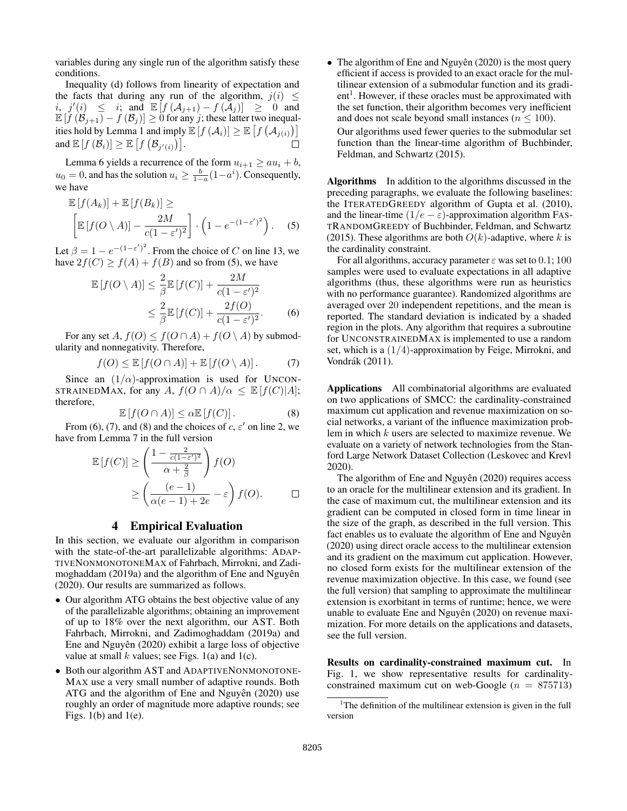variables during any single run of the algorithm satisfy these conditions.

Inequality (d) follows from linearity of expectation and the facts that during any run of the algorithm,  $j(i) \leq$ i,  $j'(i) \leq i$ ; and  $\mathbb{E}[f(\mathcal{A}_{j+1}) - f(\mathcal{A}_j)] \geq 0$  and  $\mathbb{E} \left[ f \left( \mathcal{B}_{j+1} \right) - f \left( \mathcal{B}_j \right) \right] \geq 0$  for any j; these latter two inequalities hold by Lemma 1 and imply  $\mathbb{E}[f(\mathcal{A}_i)] \geq \mathbb{E}[f(\mathcal{A}_{j(i)})]$ and  $\mathbb{E}[f(\mathcal{B}_i)] \geq \mathbb{E}[f(\mathcal{B}_{j'(i)})].$  $\Box$ 

Lemma 6 yields a recurrence of the form  $u_{i+1} \ge au_i + b$ ,  $u_0 = 0$ , and has the solution  $u_i \ge \frac{b}{1-a}(1-a^i)$ . Consequently, we have

$$
\mathbb{E}\left[f(A_k)\right] + \mathbb{E}\left[f(B_k)\right] \ge \left[\mathbb{E}\left[f(O \setminus A)\right] - \frac{2M}{c(1-\varepsilon')^2}\right] \cdot \left(1 - e^{-(1-\varepsilon')^2}\right). \quad (5)
$$

Let  $\beta = 1 - e^{-(1-\epsilon')^2}$ . From the choice of C on line 13, we have  $2f(C) \ge f(A) + f(B)$  and so from (5), we have

$$
\mathbb{E}\left[f(O\setminus A)\right] \leq \frac{2}{\beta} \mathbb{E}\left[f(C)\right] + \frac{2M}{c(1-\varepsilon')^2} \leq \frac{2}{\beta} \mathbb{E}\left[f(C)\right] + \frac{2f(O)}{c(1-\varepsilon')^2}.
$$
\n(6)

For any set  $A, f(O) \leq f(O \cap A) + f(O \setminus A)$  by submodularity and nonnegativity. Therefore,

$$
f(O) \le \mathbb{E}\left[f(O \cap A)\right] + \mathbb{E}\left[f(O \setminus A)\right].\tag{7}
$$

Since an  $(1/\alpha)$ -approximation is used for UNCON-STRAINEDMAX, for any A,  $f(O \cap A)/\alpha \leq \mathbb{E}[f(C)|A];$ therefore,

$$
\mathbb{E}\left[f(O \cap A)\right] \le \alpha \mathbb{E}\left[f(C)\right].\tag{8}
$$

From (6), (7), and (8) and the choices of  $c, \varepsilon'$  on line 2, we have from Lemma 7 in the full version

$$
\mathbb{E}[f(C)] \ge \left(\frac{1 - \frac{2}{c(1 - \varepsilon')^2}}{\alpha + \frac{2}{\beta}}\right) f(O)
$$

$$
\ge \left(\frac{(e - 1)}{\alpha(e - 1) + 2e} - \varepsilon\right) f(O). \qquad \Box
$$

### 4 Empirical Evaluation

In this section, we evaluate our algorithm in comparison with the state-of-the-art parallelizable algorithms: ADAP-TIVENONMONOTONEMAX of Fahrbach, Mirrokni, and Zadimoghaddam (2019a) and the algorithm of Ene and Nguyên (2020). Our results are summarized as follows.

- Our algorithm ATG obtains the best objective value of any of the parallelizable algorithms; obtaining an improvement of up to 18% over the next algorithm, our AST. Both Fahrbach, Mirrokni, and Zadimoghaddam (2019a) and Ene and Nguyên (2020) exhibit a large loss of objective value at small  $k$  values; see Figs. 1(a) and 1(c).
- Both our algorithm AST and ADAPTIVENONMONOTONE-MAX use a very small number of adaptive rounds. Both ATG and the algorithm of Ene and Nguyên (2020) use roughly an order of magnitude more adaptive rounds; see Figs.  $1(b)$  and  $1(e)$ .

• The algorithm of Ene and Nguyên  $(2020)$  is the most query efficient if access is provided to an exact oracle for the multilinear extension of a submodular function and its gradient<sup>1</sup>. However, if these oracles must be approximated with the set function, their algorithm becomes very inefficient and does not scale beyond small instances ( $n \leq 100$ ).

Our algorithms used fewer queries to the submodular set function than the linear-time algorithm of Buchbinder, Feldman, and Schwartz (2015).

Algorithms In addition to the algorithms discussed in the preceding paragraphs, we evaluate the following baselines: the ITERATEDGREEDY algorithm of Gupta et al. (2010), and the linear-time  $(1/e - \varepsilon)$ -approximation algorithm FAS-TRANDOMGREEDY of Buchbinder, Feldman, and Schwartz (2015). These algorithms are both  $O(k)$ -adaptive, where k is the cardinality constraint.

For all algorithms, accuracy parameter  $\varepsilon$  was set to 0.1; 100 samples were used to evaluate expectations in all adaptive algorithms (thus, these algorithms were run as heuristics with no performance guarantee). Randomized algorithms are averaged over 20 independent repetitions, and the mean is reported. The standard deviation is indicated by a shaded region in the plots. Any algorithm that requires a subroutine for UNCONSTRAINEDMAX is implemented to use a random set, which is a  $(1/4)$ -approximation by Feige, Mirrokni, and Vondrák (2011).

Applications All combinatorial algorithms are evaluated on two applications of SMCC: the cardinality-constrained maximum cut application and revenue maximization on social networks, a variant of the influence maximization problem in which k users are selected to maximize revenue. We evaluate on a variety of network technologies from the Stanford Large Network Dataset Collection (Leskovec and Krevl 2020).

The algorithm of Ene and Nguyên (2020) requires access to an oracle for the multilinear extension and its gradient. In the case of maximum cut, the multilinear extension and its gradient can be computed in closed form in time linear in the size of the graph, as described in the full version. This fact enables us to evaluate the algorithm of Ene and Nguyên (2020) using direct oracle access to the multilinear extension and its gradient on the maximum cut application. However, no closed form exists for the multilinear extension of the revenue maximization objective. In this case, we found (see the full version) that sampling to approximate the multilinear extension is exorbitant in terms of runtime; hence, we were unable to evaluate Ene and Nguyên (2020) on revenue maximization. For more details on the applications and datasets, see the full version.

Results on cardinality-constrained maximum cut. In Fig. 1, we show representative results for cardinalityconstrained maximum cut on web-Google ( $n = 875713$ )

<sup>&</sup>lt;sup>1</sup>The definition of the multilinear extension is given in the full version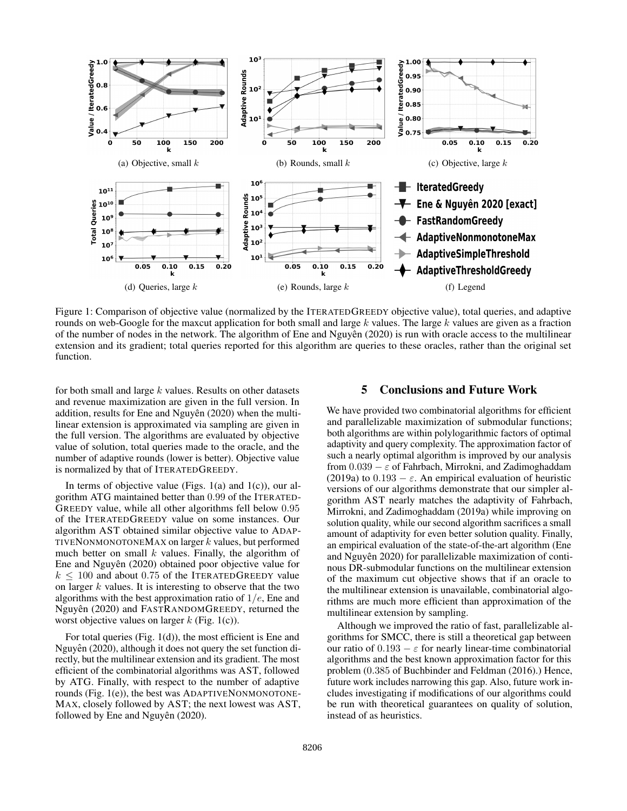

Figure 1: Comparison of objective value (normalized by the ITERATEDGREEDY objective value), total queries, and adaptive rounds on web-Google for the maxcut application for both small and large  $k$  values. The large  $k$  values are given as a fraction of the number of nodes in the network. The algorithm of Ene and Nguyên  $(2020)$  is run with oracle access to the multilinear extension and its gradient; total queries reported for this algorithm are queries to these oracles, rather than the original set function.

for both small and large  $k$  values. Results on other datasets and revenue maximization are given in the full version. In addition, results for Ene and Nguyên (2020) when the multilinear extension is approximated via sampling are given in the full version. The algorithms are evaluated by objective value of solution, total queries made to the oracle, and the number of adaptive rounds (lower is better). Objective value is normalized by that of ITERATEDGREEDY.

In terms of objective value (Figs.  $1(a)$  and  $1(c)$ ), our algorithm ATG maintained better than 0.99 of the ITERATED-GREEDY value, while all other algorithms fell below 0.95 of the ITERATEDGREEDY value on some instances. Our algorithm AST obtained similar objective value to ADAP-TIVENONMONOTONEMAX on larger  $k$  values, but performed much better on small  $k$  values. Finally, the algorithm of Ene and Nguyên (2020) obtained poor objective value for  $k \leq 100$  and about 0.75 of the ITERATEDGREEDY value on larger  $k$  values. It is interesting to observe that the two algorithms with the best approximation ratio of  $1/e$ , Ene and Nguyên (2020) and FASTRANDOMGREEDY, returned the worst objective values on larger  $k$  (Fig. 1(c)).

For total queries (Fig. 1(d)), the most efficient is Ene and Nguyên (2020), although it does not query the set function directly, but the multilinear extension and its gradient. The most efficient of the combinatorial algorithms was AST, followed by ATG. Finally, with respect to the number of adaptive rounds (Fig. 1(e)), the best was ADAPTIVENONMONOTONE-MAX, closely followed by AST; the next lowest was AST, followed by Ene and Nguyên (2020).

### 5 Conclusions and Future Work

We have provided two combinatorial algorithms for efficient and parallelizable maximization of submodular functions; both algorithms are within polylogarithmic factors of optimal adaptivity and query complexity. The approximation factor of such a nearly optimal algorithm is improved by our analysis from  $0.039 - \varepsilon$  of Fahrbach, Mirrokni, and Zadimoghaddam (2019a) to  $0.193 - \varepsilon$ . An empirical evaluation of heuristic versions of our algorithms demonstrate that our simpler algorithm AST nearly matches the adaptivity of Fahrbach, Mirrokni, and Zadimoghaddam (2019a) while improving on solution quality, while our second algorithm sacrifices a small amount of adaptivity for even better solution quality. Finally, an empirical evaluation of the state-of-the-art algorithm (Ene and Nguyên 2020) for parallelizable maximization of continous DR-submodular functions on the multilinear extension of the maximum cut objective shows that if an oracle to the multilinear extension is unavailable, combinatorial algorithms are much more efficient than approximation of the multilinear extension by sampling.

Although we improved the ratio of fast, parallelizable algorithms for SMCC, there is still a theoretical gap between our ratio of  $0.193 - \varepsilon$  for nearly linear-time combinatorial algorithms and the best known approximation factor for this problem (0.385 of Buchbinder and Feldman (2016).) Hence, future work includes narrowing this gap. Also, future work includes investigating if modifications of our algorithms could be run with theoretical guarantees on quality of solution, instead of as heuristics.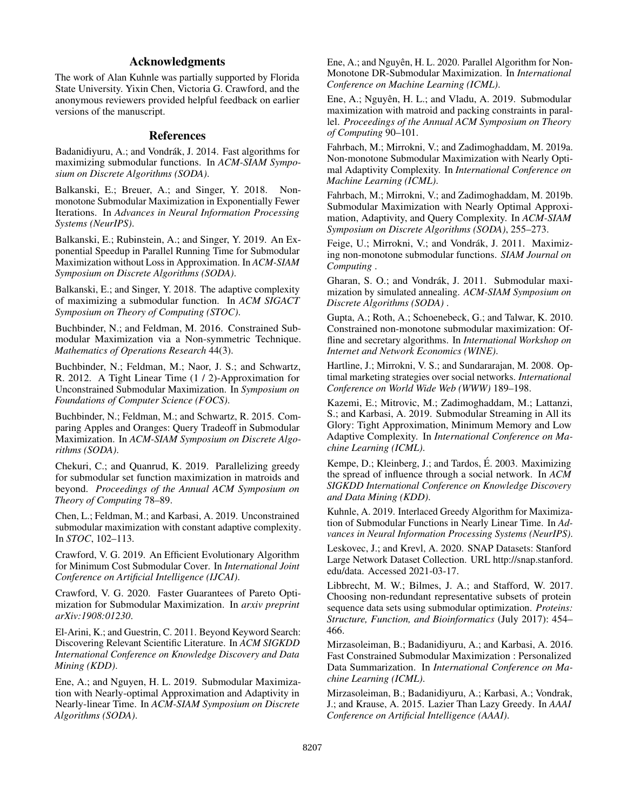## Acknowledgments

The work of Alan Kuhnle was partially supported by Florida State University. Yixin Chen, Victoria G. Crawford, and the anonymous reviewers provided helpful feedback on earlier versions of the manuscript.

#### References

Badanidiyuru, A.; and Vondrák, J. 2014. Fast algorithms for maximizing submodular functions. In *ACM-SIAM Symposium on Discrete Algorithms (SODA)*.

Balkanski, E.; Breuer, A.; and Singer, Y. 2018. Nonmonotone Submodular Maximization in Exponentially Fewer Iterations. In *Advances in Neural Information Processing Systems (NeurIPS)*.

Balkanski, E.; Rubinstein, A.; and Singer, Y. 2019. An Exponential Speedup in Parallel Running Time for Submodular Maximization without Loss in Approximation. In *ACM-SIAM Symposium on Discrete Algorithms (SODA)*.

Balkanski, E.; and Singer, Y. 2018. The adaptive complexity of maximizing a submodular function. In *ACM SIGACT Symposium on Theory of Computing (STOC)*.

Buchbinder, N.; and Feldman, M. 2016. Constrained Submodular Maximization via a Non-symmetric Technique. *Mathematics of Operations Research* 44(3).

Buchbinder, N.; Feldman, M.; Naor, J. S.; and Schwartz, R. 2012. A Tight Linear Time (1 / 2)-Approximation for Unconstrained Submodular Maximization. In *Symposium on Foundations of Computer Science (FOCS)*.

Buchbinder, N.; Feldman, M.; and Schwartz, R. 2015. Comparing Apples and Oranges: Query Tradeoff in Submodular Maximization. In *ACM-SIAM Symposium on Discrete Algorithms (SODA)*.

Chekuri, C.; and Quanrud, K. 2019. Parallelizing greedy for submodular set function maximization in matroids and beyond. *Proceedings of the Annual ACM Symposium on Theory of Computing* 78–89.

Chen, L.; Feldman, M.; and Karbasi, A. 2019. Unconstrained submodular maximization with constant adaptive complexity. In *STOC*, 102–113.

Crawford, V. G. 2019. An Efficient Evolutionary Algorithm for Minimum Cost Submodular Cover. In *International Joint Conference on Artificial Intelligence (IJCAI)*.

Crawford, V. G. 2020. Faster Guarantees of Pareto Optimization for Submodular Maximization. In *arxiv preprint arXiv:1908:01230*.

El-Arini, K.; and Guestrin, C. 2011. Beyond Keyword Search: Discovering Relevant Scientific Literature. In *ACM SIGKDD International Conference on Knowledge Discovery and Data Mining (KDD)*.

Ene, A.; and Nguyen, H. L. 2019. Submodular Maximization with Nearly-optimal Approximation and Adaptivity in Nearly-linear Time. In *ACM-SIAM Symposium on Discrete Algorithms (SODA)*.

Ene, A.; and Nguyên, H. L. 2020. Parallel Algorithm for Non-Monotone DR-Submodular Maximization. In *International Conference on Machine Learning (ICML)*.

Ene, A.; Nguyên, H. L.; and Vladu, A. 2019. Submodular maximization with matroid and packing constraints in parallel. *Proceedings of the Annual ACM Symposium on Theory of Computing* 90–101.

Fahrbach, M.; Mirrokni, V.; and Zadimoghaddam, M. 2019a. Non-monotone Submodular Maximization with Nearly Optimal Adaptivity Complexity. In *International Conference on Machine Learning (ICML)*.

Fahrbach, M.; Mirrokni, V.; and Zadimoghaddam, M. 2019b. Submodular Maximization with Nearly Optimal Approximation, Adaptivity, and Query Complexity. In *ACM-SIAM Symposium on Discrete Algorithms (SODA)*, 255–273.

Feige, U.; Mirrokni, V.; and Vondrák, J. 2011. Maximizing non-monotone submodular functions. *SIAM Journal on Computing* .

Gharan, S. O.; and Vondrák, J. 2011. Submodular maximization by simulated annealing. *ACM-SIAM Symposium on Discrete Algorithms (SODA)* .

Gupta, A.; Roth, A.; Schoenebeck, G.; and Talwar, K. 2010. Constrained non-monotone submodular maximization: Offline and secretary algorithms. In *International Workshop on Internet and Network Economics (WINE)*.

Hartline, J.; Mirrokni, V. S.; and Sundararajan, M. 2008. Optimal marketing strategies over social networks. *International Conference on World Wide Web (WWW)* 189–198.

Kazemi, E.; Mitrovic, M.; Zadimoghaddam, M.; Lattanzi, S.; and Karbasi, A. 2019. Submodular Streaming in All its Glory: Tight Approximation, Minimum Memory and Low Adaptive Complexity. In *International Conference on Machine Learning (ICML)*.

Kempe, D.; Kleinberg, J.; and Tardos, É. 2003. Maximizing the spread of influence through a social network. In *ACM SIGKDD International Conference on Knowledge Discovery and Data Mining (KDD)*.

Kuhnle, A. 2019. Interlaced Greedy Algorithm for Maximization of Submodular Functions in Nearly Linear Time. In *Advances in Neural Information Processing Systems (NeurIPS)*.

Leskovec, J.; and Krevl, A. 2020. SNAP Datasets: Stanford Large Network Dataset Collection. URL http://snap.stanford. edu/data. Accessed 2021-03-17.

Libbrecht, M. W.; Bilmes, J. A.; and Stafford, W. 2017. Choosing non-redundant representative subsets of protein sequence data sets using submodular optimization. *Proteins: Structure, Function, and Bioinformatics* (July 2017): 454– 466.

Mirzasoleiman, B.; Badanidiyuru, A.; and Karbasi, A. 2016. Fast Constrained Submodular Maximization : Personalized Data Summarization. In *International Conference on Machine Learning (ICML)*.

Mirzasoleiman, B.; Badanidiyuru, A.; Karbasi, A.; Vondrak, J.; and Krause, A. 2015. Lazier Than Lazy Greedy. In *AAAI Conference on Artificial Intelligence (AAAI)*.